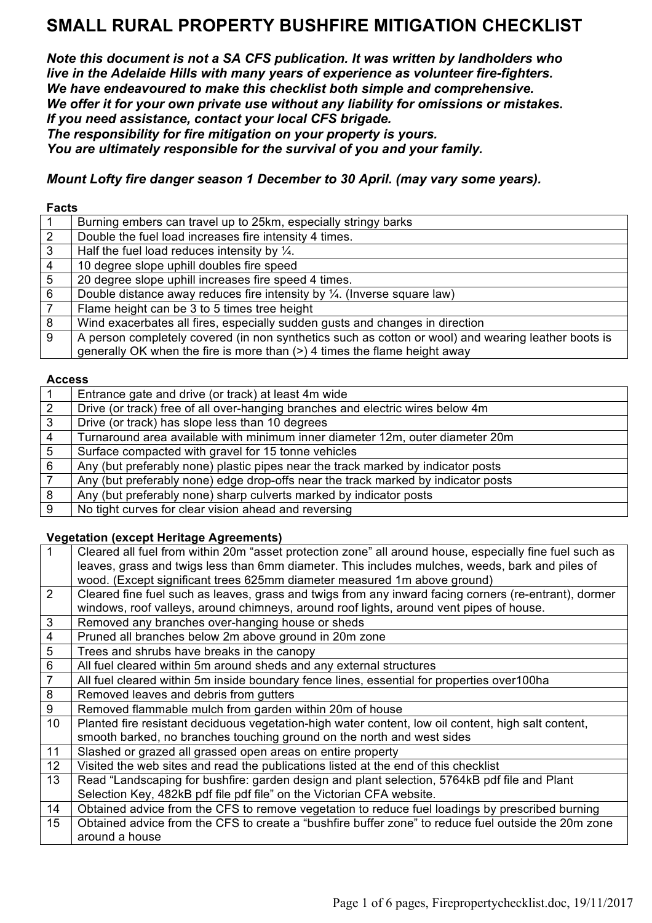*Note this document is not a SA CFS publication. It was written by landholders who live in the Adelaide Hills with many years of experience as volunteer fire-fighters. We have endeavoured to make this checklist both simple and comprehensive. We offer it for your own private use without any liability for omissions or mistakes. If you need assistance, contact your local CFS brigade. The responsibility for fire mitigation on your property is yours.* 

*You are ultimately responsible for the survival of you and your family.* 

*Mount Lofty fire danger season 1 December to 30 April. (may vary some years).*

| <b>Facts</b>    |                                                                                                     |
|-----------------|-----------------------------------------------------------------------------------------------------|
|                 | Burning embers can travel up to 25km, especially stringy barks                                      |
| $\overline{2}$  | Double the fuel load increases fire intensity 4 times.                                              |
| $3\phantom{.0}$ | Half the fuel load reduces intensity by $\frac{1}{4}$ .                                             |
| $\overline{4}$  | 10 degree slope uphill doubles fire speed                                                           |
| $5\overline{)}$ | 20 degree slope uphill increases fire speed 4 times.                                                |
| 6               | Double distance away reduces fire intensity by $\frac{1}{4}$ . (Inverse square law)                 |
| $\overline{7}$  | Flame height can be 3 to 5 times tree height                                                        |
| 8               | Wind exacerbates all fires, especially sudden gusts and changes in direction                        |
| 9               | A person completely covered (in non synthetics such as cotton or wool) and wearing leather boots is |
|                 | generally OK when the fire is more than (>) 4 times the flame height away                           |

#### **Access**

|                | Entrance gate and drive (or track) at least 4m wide                               |
|----------------|-----------------------------------------------------------------------------------|
| $\overline{2}$ | Drive (or track) free of all over-hanging branches and electric wires below 4m    |
| $\mathbf{3}$   | Drive (or track) has slope less than 10 degrees                                   |
| $\overline{4}$ | Turnaround area available with minimum inner diameter 12m, outer diameter 20m     |
| 5              | Surface compacted with gravel for 15 tonne vehicles                               |
| -6             | Any (but preferably none) plastic pipes near the track marked by indicator posts  |
|                | Any (but preferably none) edge drop-offs near the track marked by indicator posts |
| 8              | Any (but preferably none) sharp culverts marked by indicator posts                |
| -9             | No tight curves for clear vision ahead and reversing                              |
|                |                                                                                   |

#### **Vegetation (except Heritage Agreements)**

| $\mathbf 1$     | Cleared all fuel from within 20m "asset protection zone" all around house, especially fine fuel such as |
|-----------------|---------------------------------------------------------------------------------------------------------|
|                 | leaves, grass and twigs less than 6mm diameter. This includes mulches, weeds, bark and piles of         |
|                 | wood. (Except significant trees 625mm diameter measured 1m above ground)                                |
| 2               | Cleared fine fuel such as leaves, grass and twigs from any inward facing corners (re-entrant), dormer   |
|                 | windows, roof valleys, around chimneys, around roof lights, around vent pipes of house.                 |
| $\mathbf{3}$    | Removed any branches over-hanging house or sheds                                                        |
| $\overline{4}$  | Pruned all branches below 2m above ground in 20m zone                                                   |
| $\overline{5}$  | Trees and shrubs have breaks in the canopy                                                              |
| $\,6\,$         | All fuel cleared within 5m around sheds and any external structures                                     |
| $\overline{7}$  | All fuel cleared within 5m inside boundary fence lines, essential for properties over100ha              |
| $\infty$        | Removed leaves and debris from gutters                                                                  |
| $9\,$           | Removed flammable mulch from garden within 20m of house                                                 |
| 10 <sup>°</sup> | Planted fire resistant deciduous vegetation-high water content, low oil content, high salt content,     |
|                 | smooth barked, no branches touching ground on the north and west sides                                  |
| 11              | Slashed or grazed all grassed open areas on entire property                                             |
| 12              | Visited the web sites and read the publications listed at the end of this checklist                     |
| 13              | Read "Landscaping for bushfire: garden design and plant selection, 5764kB pdf file and Plant            |
|                 | Selection Key, 482kB pdf file pdf file" on the Victorian CFA website.                                   |
| 14              | Obtained advice from the CFS to remove vegetation to reduce fuel loadings by prescribed burning         |
| 15              | Obtained advice from the CFS to create a "bushfire buffer zone" to reduce fuel outside the 20m zone     |
|                 | around a house                                                                                          |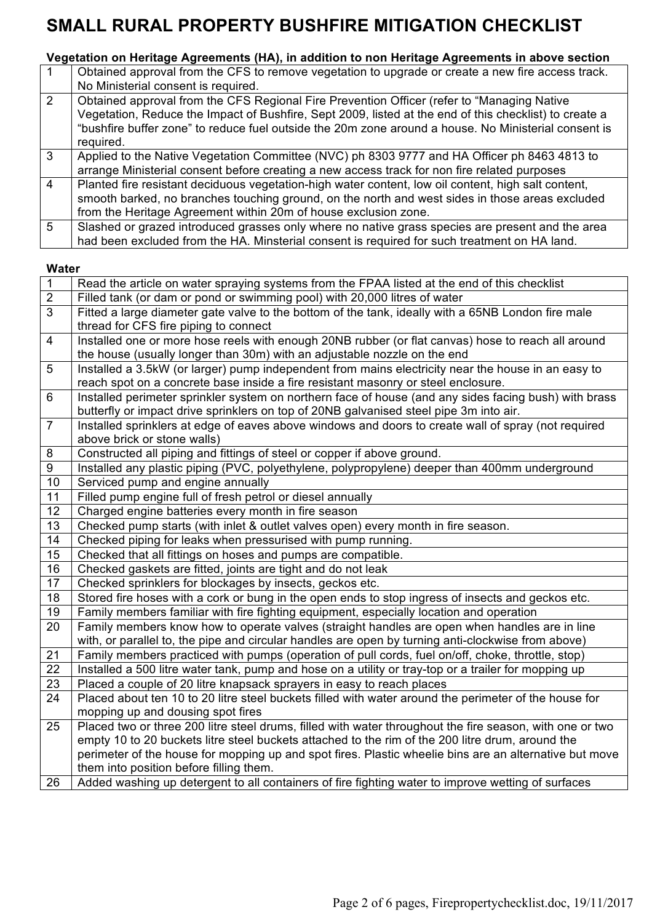# **Vegetation on Heritage Agreements (HA), in addition to non Heritage Agreements in above section**

|                | Obtained approval from the CFS to remove vegetation to upgrade or create a new fire access track.<br>No Ministerial consent is required.                                                                                                                                                                                   |
|----------------|----------------------------------------------------------------------------------------------------------------------------------------------------------------------------------------------------------------------------------------------------------------------------------------------------------------------------|
| $\overline{2}$ | Obtained approval from the CFS Regional Fire Prevention Officer (refer to "Managing Native"<br>Vegetation, Reduce the Impact of Bushfire, Sept 2009, listed at the end of this checklist) to create a<br>"bushfire buffer zone" to reduce fuel outside the 20m zone around a house. No Ministerial consent is<br>required. |
| 3              | Applied to the Native Vegetation Committee (NVC) ph 8303 9777 and HA Officer ph 8463 4813 to<br>arrange Ministerial consent before creating a new access track for non fire related purposes                                                                                                                               |
| $\overline{4}$ | Planted fire resistant deciduous vegetation-high water content, low oil content, high salt content,<br>smooth barked, no branches touching ground, on the north and west sides in those areas excluded<br>from the Heritage Agreement within 20m of house exclusion zone.                                                  |
| $5^{\circ}$    | Slashed or grazed introduced grasses only where no native grass species are present and the area<br>had been excluded from the HA. Minsterial consent is required for such treatment on HA land.                                                                                                                           |

#### **Water**

| $\mathbf{1}$   | Read the article on water spraying systems from the FPAA listed at the end of this checklist             |
|----------------|----------------------------------------------------------------------------------------------------------|
| $\overline{2}$ | Filled tank (or dam or pond or swimming pool) with 20,000 litres of water                                |
| $\overline{3}$ | Fitted a large diameter gate valve to the bottom of the tank, ideally with a 65NB London fire male       |
|                | thread for CFS fire piping to connect                                                                    |
| $\overline{4}$ | Installed one or more hose reels with enough 20NB rubber (or flat canvas) hose to reach all around       |
|                | the house (usually longer than 30m) with an adjustable nozzle on the end                                 |
| 5              | Installed a 3.5kW (or larger) pump independent from mains electricity near the house in an easy to       |
|                | reach spot on a concrete base inside a fire resistant masonry or steel enclosure.                        |
| 6              | Installed perimeter sprinkler system on northern face of house (and any sides facing bush) with brass    |
|                | butterfly or impact drive sprinklers on top of 20NB galvanised steel pipe 3m into air.                   |
| $\overline{7}$ | Installed sprinklers at edge of eaves above windows and doors to create wall of spray (not required      |
|                | above brick or stone walls)                                                                              |
| 8              | Constructed all piping and fittings of steel or copper if above ground.                                  |
| 9              | Installed any plastic piping (PVC, polyethylene, polypropylene) deeper than 400mm underground            |
| 10             | Serviced pump and engine annually                                                                        |
| 11             | Filled pump engine full of fresh petrol or diesel annually                                               |
| 12             | Charged engine batteries every month in fire season                                                      |
| 13             | Checked pump starts (with inlet & outlet valves open) every month in fire season.                        |
| 14             | Checked piping for leaks when pressurised with pump running.                                             |
| 15             | Checked that all fittings on hoses and pumps are compatible.                                             |
| 16             | Checked gaskets are fitted, joints are tight and do not leak                                             |
| 17             | Checked sprinklers for blockages by insects, geckos etc.                                                 |
| 18             | Stored fire hoses with a cork or bung in the open ends to stop ingress of insects and geckos etc.        |
| 19             | Family members familiar with fire fighting equipment, especially location and operation                  |
| 20             | Family members know how to operate valves (straight handles are open when handles are in line            |
|                | with, or parallel to, the pipe and circular handles are open by turning anti-clockwise from above)       |
| 21             | Family members practiced with pumps (operation of pull cords, fuel on/off, choke, throttle, stop)        |
| 22             | Installed a 500 litre water tank, pump and hose on a utility or tray-top or a trailer for mopping up     |
| 23             | Placed a couple of 20 litre knapsack sprayers in easy to reach places                                    |
| 24             | Placed about ten 10 to 20 litre steel buckets filled with water around the perimeter of the house for    |
|                | mopping up and dousing spot fires                                                                        |
| 25             | Placed two or three 200 litre steel drums, filled with water throughout the fire season, with one or two |
|                | empty 10 to 20 buckets litre steel buckets attached to the rim of the 200 litre drum, around the         |
|                | perimeter of the house for mopping up and spot fires. Plastic wheelie bins are an alternative but move   |
|                | them into position before filling them.                                                                  |
| 26             | Added washing up detergent to all containers of fire fighting water to improve wetting of surfaces       |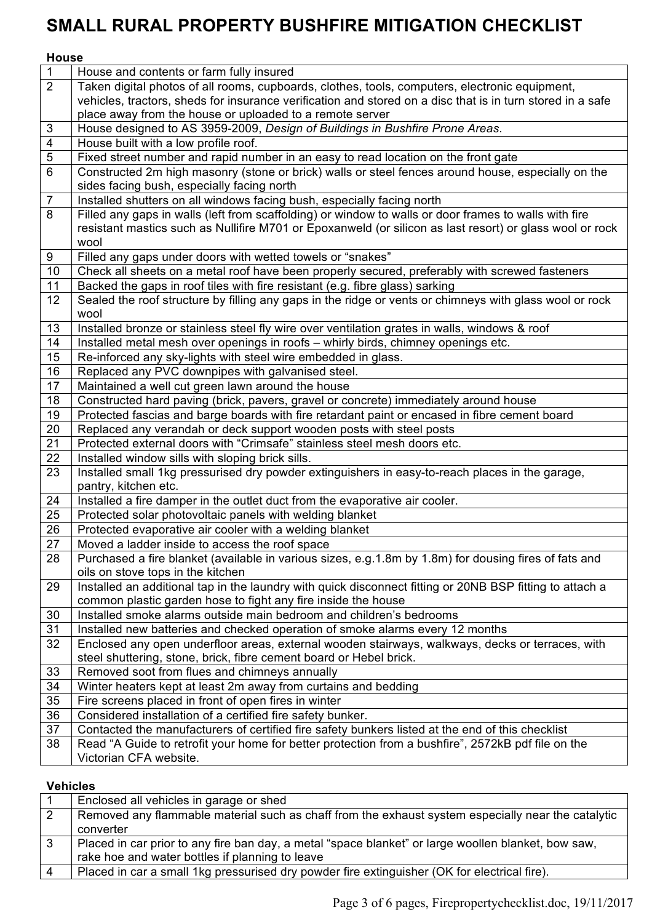# **House**

| $\overline{1}$          | House and contents or farm fully insured                                                                   |
|-------------------------|------------------------------------------------------------------------------------------------------------|
| $\overline{2}$          | Taken digital photos of all rooms, cupboards, clothes, tools, computers, electronic equipment,             |
|                         | vehicles, tractors, sheds for insurance verification and stored on a disc that is in turn stored in a safe |
|                         | place away from the house or uploaded to a remote server                                                   |
| $\sqrt{3}$              | House designed to AS 3959-2009, Design of Buildings in Bushfire Prone Areas.                               |
| $\overline{\mathbf{4}}$ | House built with a low profile roof.                                                                       |
| $\overline{5}$          | Fixed street number and rapid number in an easy to read location on the front gate                         |
| $\overline{6}$          | Constructed 2m high masonry (stone or brick) walls or steel fences around house, especially on the         |
|                         | sides facing bush, especially facing north                                                                 |
| $\overline{7}$          | Installed shutters on all windows facing bush, especially facing north                                     |
| 8                       | Filled any gaps in walls (left from scaffolding) or window to walls or door frames to walls with fire      |
|                         | resistant mastics such as Nullifire M701 or Epoxanweld (or silicon as last resort) or glass wool or rock   |
|                         | wool                                                                                                       |
| 9                       | Filled any gaps under doors with wetted towels or "snakes"                                                 |
| 10                      | Check all sheets on a metal roof have been properly secured, preferably with screwed fasteners             |
| 11                      | Backed the gaps in roof tiles with fire resistant (e.g. fibre glass) sarking                               |
| 12                      | Sealed the roof structure by filling any gaps in the ridge or vents or chimneys with glass wool or rock    |
|                         | wool                                                                                                       |
| 13                      | Installed bronze or stainless steel fly wire over ventilation grates in walls, windows & roof              |
| 14                      | Installed metal mesh over openings in roofs - whirly birds, chimney openings etc.                          |
| 15                      | Re-inforced any sky-lights with steel wire embedded in glass.                                              |
| 16                      | Replaced any PVC downpipes with galvanised steel.                                                          |
| 17                      | Maintained a well cut green lawn around the house                                                          |
| 18                      | Constructed hard paving (brick, pavers, gravel or concrete) immediately around house                       |
| 19                      | Protected fascias and barge boards with fire retardant paint or encased in fibre cement board              |
| 20                      | Replaced any verandah or deck support wooden posts with steel posts                                        |
| 21                      | Protected external doors with "Crimsafe" stainless steel mesh doors etc.                                   |
| 22                      | Installed window sills with sloping brick sills.                                                           |
| 23                      | Installed small 1kg pressurised dry powder extinguishers in easy-to-reach places in the garage,            |
|                         | pantry, kitchen etc.                                                                                       |
| 24                      | Installed a fire damper in the outlet duct from the evaporative air cooler.                                |
| 25                      | Protected solar photovoltaic panels with welding blanket                                                   |
| 26                      | Protected evaporative air cooler with a welding blanket                                                    |
| 27                      | Moved a ladder inside to access the roof space                                                             |
| 28                      | Purchased a fire blanket (available in various sizes, e.g.1.8m by 1.8m) for dousing fires of fats and      |
|                         | oils on stove tops in the kitchen                                                                          |
| 29                      | Installed an additional tap in the laundry with quick disconnect fitting or 20NB BSP fitting to attach a   |
|                         | common plastic garden hose to fight any fire inside the house                                              |
| 30                      | Installed smoke alarms outside main bedroom and children's bedrooms                                        |
| 31                      | Installed new batteries and checked operation of smoke alarms every 12 months                              |
| 32                      | Enclosed any open underfloor areas, external wooden stairways, walkways, decks or terraces, with           |
|                         | steel shuttering, stone, brick, fibre cement board or Hebel brick.                                         |
| 33                      | Removed soot from flues and chimneys annually                                                              |
| 34                      | Winter heaters kept at least 2m away from curtains and bedding                                             |
| 35                      | Fire screens placed in front of open fires in winter                                                       |
| 36                      | Considered installation of a certified fire safety bunker.                                                 |
| 37                      | Contacted the manufacturers of certified fire safety bunkers listed at the end of this checklist           |
| 38                      | Read "A Guide to retrofit your home for better protection from a bushfire", 2572kB pdf file on the         |
|                         | Victorian CFA website.                                                                                     |
|                         |                                                                                                            |

## **Vehicles**

| Enclosed all vehicles in garage or shed                                                             |
|-----------------------------------------------------------------------------------------------------|
| Removed any flammable material such as chaff from the exhaust system especially near the catalytic  |
| converter                                                                                           |
| Placed in car prior to any fire ban day, a metal "space blanket" or large woollen blanket, bow saw, |
| rake hoe and water bottles if planning to leave                                                     |
| Placed in car a small 1kg pressurised dry powder fire extinguisher (OK for electrical fire).        |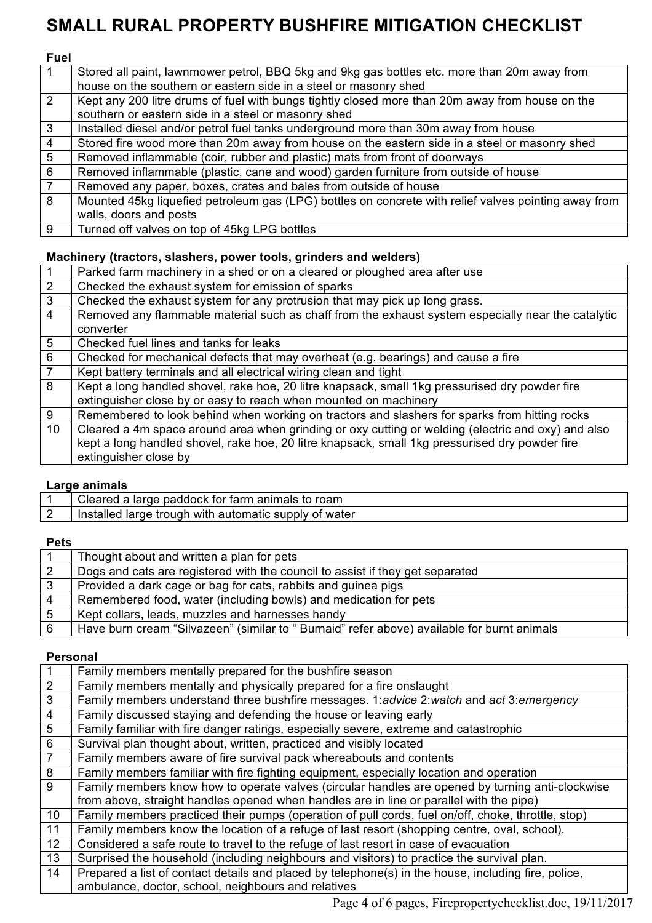## **Fuel**

|                 | Stored all paint, lawnmower petrol, BBQ 5kg and 9kg gas bottles etc. more than 20m away from         |
|-----------------|------------------------------------------------------------------------------------------------------|
|                 | house on the southern or eastern side in a steel or masonry shed                                     |
| 2               | Kept any 200 litre drums of fuel with bungs tightly closed more than 20m away from house on the      |
|                 | southern or eastern side in a steel or masonry shed                                                  |
| $\mathbf{3}$    | Installed diesel and/or petrol fuel tanks underground more than 30m away from house                  |
| $\overline{4}$  | Stored fire wood more than 20m away from house on the eastern side in a steel or masonry shed        |
| $5\overline{5}$ | Removed inflammable (coir, rubber and plastic) mats from front of doorways                           |
| 6               | Removed inflammable (plastic, cane and wood) garden furniture from outside of house                  |
| $\overline{7}$  | Removed any paper, boxes, crates and bales from outside of house                                     |
| 8               | Mounted 45kg liquefied petroleum gas (LPG) bottles on concrete with relief valves pointing away from |
|                 | walls, doors and posts                                                                               |
| -9              | Turned off valves on top of 45kg LPG bottles                                                         |

### **Machinery (tractors, slashers, power tools, grinders and welders)**

|                 | Parked farm machinery in a shed or on a cleared or ploughed area after use                         |
|-----------------|----------------------------------------------------------------------------------------------------|
| 2               | Checked the exhaust system for emission of sparks                                                  |
| $\overline{3}$  | Checked the exhaust system for any protrusion that may pick up long grass.                         |
| $\overline{4}$  | Removed any flammable material such as chaff from the exhaust system especially near the catalytic |
|                 | converter                                                                                          |
| 5               | Checked fuel lines and tanks for leaks                                                             |
| $6\phantom{1}$  | Checked for mechanical defects that may overheat (e.g. bearings) and cause a fire                  |
| $\overline{7}$  | Kept battery terminals and all electrical wiring clean and tight                                   |
| 8               | Kept a long handled shovel, rake hoe, 20 litre knapsack, small 1kg pressurised dry powder fire     |
|                 | extinguisher close by or easy to reach when mounted on machinery                                   |
| 9               | Remembered to look behind when working on tractors and slashers for sparks from hitting rocks      |
| 10 <sup>°</sup> | Cleared a 4m space around area when grinding or oxy cutting or welding (electric and oxy) and also |
|                 | kept a long handled shovel, rake hoe, 20 litre knapsack, small 1kg pressurised dry powder fire     |
|                 | extinguisher close by                                                                              |

### **Large animals**

| Cleared a large paddock for farm animals to roam      |
|-------------------------------------------------------|
| Installed large trough with automatic supply of water |
|                                                       |

### **Pets**

|    | Thought about and written a plan for pets                                                  |
|----|--------------------------------------------------------------------------------------------|
|    | Dogs and cats are registered with the council to assist if they get separated              |
| 3  | Provided a dark cage or bag for cats, rabbits and guinea pigs                              |
|    | Remembered food, water (including bowls) and medication for pets                           |
| -5 | Kept collars, leads, muzzles and harnesses handy                                           |
| 6  | Have burn cream "Silvazeen" (similar to "Burnaid" refer above) available for burnt animals |

## **Personal**

| $\mathbf{1}$    | Family members mentally prepared for the bushfire season                                            |
|-----------------|-----------------------------------------------------------------------------------------------------|
| 2               | Family members mentally and physically prepared for a fire onslaught                                |
| 3               | Family members understand three bushfire messages. 1: advice 2: watch and act 3: emergency          |
| $\overline{4}$  | Family discussed staying and defending the house or leaving early                                   |
| $5\phantom{.0}$ | Family familiar with fire danger ratings, especially severe, extreme and catastrophic               |
| $\,6\,$         | Survival plan thought about, written, practiced and visibly located                                 |
| $\overline{7}$  | Family members aware of fire survival pack whereabouts and contents                                 |
| 8               | Family members familiar with fire fighting equipment, especially location and operation             |
| 9               | Family members know how to operate valves (circular handles are opened by turning anti-clockwise    |
|                 | from above, straight handles opened when handles are in line or parallel with the pipe)             |
| 10 <sup>°</sup> | Family members practiced their pumps (operation of pull cords, fuel on/off, choke, throttle, stop)  |
| 11              | Family members know the location of a refuge of last resort (shopping centre, oval, school).        |
| 12 <sup>°</sup> | Considered a safe route to travel to the refuge of last resort in case of evacuation                |
| 13              | Surprised the household (including neighbours and visitors) to practice the survival plan.          |
| 14              | Prepared a list of contact details and placed by telephone(s) in the house, including fire, police, |
|                 | ambulance, doctor, school, neighbours and relatives                                                 |

Page 4 of 6 pages, Firepropertychecklist.doc, 19/11/2017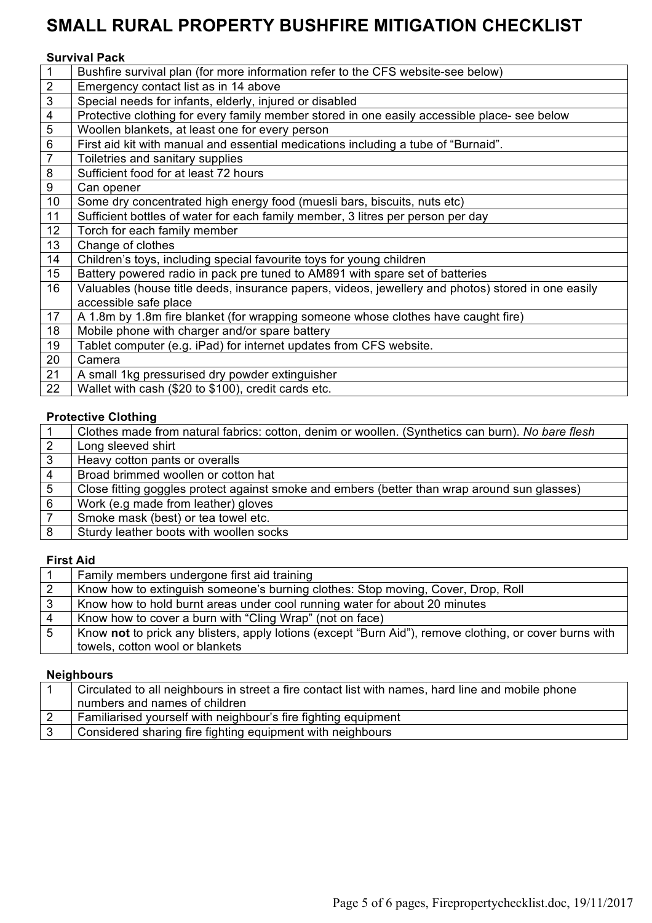## **Survival Pack**

| $\mathbf{1}$            | Bushfire survival plan (for more information refer to the CFS website-see below)                   |
|-------------------------|----------------------------------------------------------------------------------------------------|
| $\sqrt{2}$              | Emergency contact list as in 14 above                                                              |
| $\overline{3}$          | Special needs for infants, elderly, injured or disabled                                            |
| $\overline{\mathbf{4}}$ | Protective clothing for every family member stored in one easily accessible place- see below       |
| $\overline{5}$          | Woollen blankets, at least one for every person                                                    |
| 6                       | First aid kit with manual and essential medications including a tube of "Burnaid".                 |
| $\overline{7}$          | Toiletries and sanitary supplies                                                                   |
| $\overline{\mathbf{8}}$ | Sufficient food for at least 72 hours                                                              |
| $\overline{9}$          | Can opener                                                                                         |
| 10                      | Some dry concentrated high energy food (muesli bars, biscuits, nuts etc)                           |
| 11                      | Sufficient bottles of water for each family member, 3 litres per person per day                    |
| 12 <sup>2</sup>         | Torch for each family member                                                                       |
| 13                      | Change of clothes                                                                                  |
| 14                      | Children's toys, including special favourite toys for young children                               |
| 15                      | Battery powered radio in pack pre tuned to AM891 with spare set of batteries                       |
| 16                      | Valuables (house title deeds, insurance papers, videos, jewellery and photos) stored in one easily |
|                         | accessible safe place                                                                              |
| 17                      | A 1.8m by 1.8m fire blanket (for wrapping someone whose clothes have caught fire)                  |
| 18                      | Mobile phone with charger and/or spare battery                                                     |
| 19                      | Tablet computer (e.g. iPad) for internet updates from CFS website.                                 |
| 20                      | Camera                                                                                             |
| 21                      | A small 1kg pressurised dry powder extinguisher                                                    |
| 22                      | Wallet with cash (\$20 to \$100), credit cards etc.                                                |
|                         |                                                                                                    |

#### **Protective Clothing**

|                | Clothes made from natural fabrics: cotton, denim or woollen. (Synthetics can burn). No bare flesh |
|----------------|---------------------------------------------------------------------------------------------------|
| $\overline{2}$ | Long sleeved shirt                                                                                |
| $\mathbf{3}$   | Heavy cotton pants or overalls                                                                    |
| $\overline{4}$ | Broad brimmed woollen or cotton hat                                                               |
| -5             | Close fitting goggles protect against smoke and embers (better than wrap around sun glasses)      |
| 6              | Work (e.g made from leather) gloves                                                               |
|                | Smoke mask (best) or tea towel etc.                                                               |
| 8              | Sturdy leather boots with woollen socks                                                           |
|                |                                                                                                   |

# **First Aid**

|    | Family members undergone first aid training                                                             |
|----|---------------------------------------------------------------------------------------------------------|
|    | Know how to extinguish someone's burning clothes: Stop moving, Cover, Drop, Roll                        |
|    | Know how to hold burnt areas under cool running water for about 20 minutes                              |
| -4 | Know how to cover a burn with "Cling Wrap" (not on face)                                                |
| -5 | Know not to prick any blisters, apply lotions (except "Burn Aid"), remove clothing, or cover burns with |
|    | towels, cotton wool or blankets                                                                         |

#### **Neighbours**

| Circulated to all neighbours in street a fire contact list with names, hard line and mobile phone |
|---------------------------------------------------------------------------------------------------|
| numbers and names of children                                                                     |
| Familiarised yourself with neighbour's fire fighting equipment                                    |
| Considered sharing fire fighting equipment with neighbours                                        |